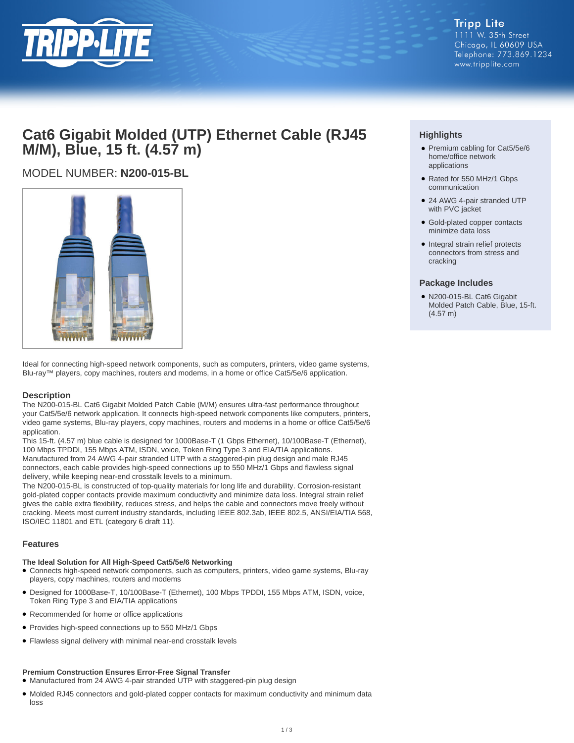

## **Cat6 Gigabit Molded (UTP) Ethernet Cable (RJ45 M/M), Blue, 15 ft. (4.57 m)**

## MODEL NUMBER: **N200-015-BL**



Ideal for connecting high-speed network components, such as computers, printers, video game systems, Blu-ray™ players, copy machines, routers and modems, in a home or office Cat5/5e/6 application.

#### **Description**

The N200-015-BL Cat6 Gigabit Molded Patch Cable (M/M) ensures ultra-fast performance throughout your Cat5/5e/6 network application. It connects high-speed network components like computers, printers, video game systems, Blu-ray players, copy machines, routers and modems in a home or office Cat5/5e/6 application.

This 15-ft. (4.57 m) blue cable is designed for 1000Base-T (1 Gbps Ethernet), 10/100Base-T (Ethernet), 100 Mbps TPDDI, 155 Mbps ATM, ISDN, voice, Token Ring Type 3 and EIA/TIA applications. Manufactured from 24 AWG 4-pair stranded UTP with a staggered-pin plug design and male RJ45 connectors, each cable provides high-speed connections up to 550 MHz/1 Gbps and flawless signal delivery, while keeping near-end crosstalk levels to a minimum.

The N200-015-BL is constructed of top-quality materials for long life and durability. Corrosion-resistant gold-plated copper contacts provide maximum conductivity and minimize data loss. Integral strain relief gives the cable extra flexibility, reduces stress, and helps the cable and connectors move freely without cracking. Meets most current industry standards, including IEEE 802.3ab, IEEE 802.5, ANSI/EIA/TIA 568, ISO/IEC 11801 and ETL (category 6 draft 11).

#### **Features**

#### **The Ideal Solution for All High-Speed Cat5/5e/6 Networking**

- Connects high-speed network components, such as computers, printers, video game systems, Blu-ray players, copy machines, routers and modems
- Designed for 1000Base-T, 10/100Base-T (Ethernet), 100 Mbps TPDDI, 155 Mbps ATM, ISDN, voice, Token Ring Type 3 and EIA/TIA applications
- Recommended for home or office applications
- Provides high-speed connections up to 550 MHz/1 Gbps
- Flawless signal delivery with minimal near-end crosstalk levels

#### **Premium Construction Ensures Error-Free Signal Transfer**

● Manufactured from 24 AWG 4-pair stranded UTP with staggered-pin plug design

● Molded RJ45 connectors and gold-plated copper contacts for maximum conductivity and minimum data loss

### **Highlights**

- Premium cabling for Cat5/5e/6 home/office network applications
- Rated for 550 MHz/1 Gbps communication
- 24 AWG 4-pair stranded UTP with PVC jacket
- Gold-plated copper contacts minimize data loss
- Integral strain relief protects connectors from stress and cracking

#### **Package Includes**

● N200-015-BL Cat6 Gigabit Molded Patch Cable, Blue, 15-ft. (4.57 m)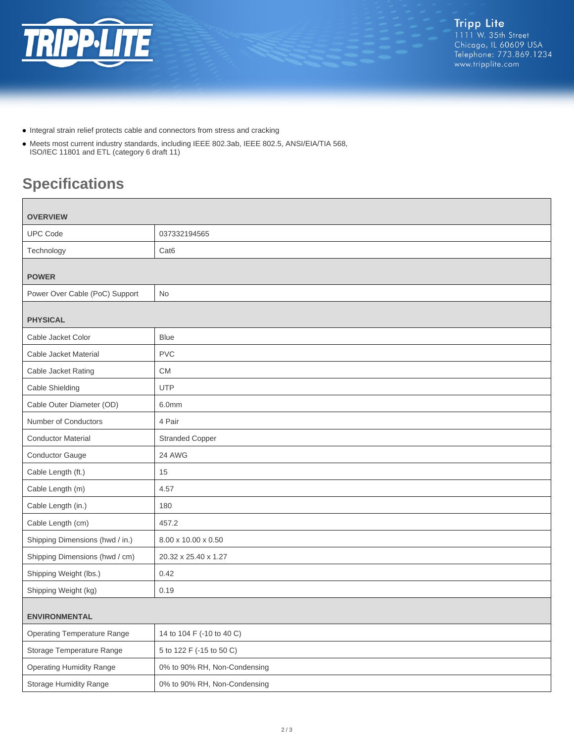

- Integral strain relief protects cable and connectors from stress and cracking
- Meets most current industry standards, including IEEE 802.3ab, IEEE 802.5, ANSI/EIA/TIA 568, ISO/IEC 11801 and ETL (category 6 draft 11)

# **Specifications**

| <b>OVERVIEW</b>                    |                              |
|------------------------------------|------------------------------|
| <b>UPC Code</b>                    | 037332194565                 |
| Technology                         | Cat <sub>6</sub>             |
| <b>POWER</b>                       |                              |
| Power Over Cable (PoC) Support     | No                           |
| <b>PHYSICAL</b>                    |                              |
| Cable Jacket Color                 | <b>Blue</b>                  |
| Cable Jacket Material              | <b>PVC</b>                   |
| Cable Jacket Rating                | <b>CM</b>                    |
| Cable Shielding                    | <b>UTP</b>                   |
| Cable Outer Diameter (OD)          | 6.0mm                        |
| Number of Conductors               | 4 Pair                       |
| <b>Conductor Material</b>          | <b>Stranded Copper</b>       |
| <b>Conductor Gauge</b>             | 24 AWG                       |
| Cable Length (ft.)                 | 15                           |
| Cable Length (m)                   | 4.57                         |
| Cable Length (in.)                 | 180                          |
| Cable Length (cm)                  | 457.2                        |
| Shipping Dimensions (hwd / in.)    | 8.00 x 10.00 x 0.50          |
| Shipping Dimensions (hwd / cm)     | 20.32 x 25.40 x 1.27         |
| Shipping Weight (lbs.)             | 0.42                         |
| Shipping Weight (kg)               | 0.19                         |
| <b>ENVIRONMENTAL</b>               |                              |
| <b>Operating Temperature Range</b> | 14 to 104 F (-10 to 40 C)    |
| Storage Temperature Range          | 5 to 122 F (-15 to 50 C)     |
| <b>Operating Humidity Range</b>    | 0% to 90% RH, Non-Condensing |
| <b>Storage Humidity Range</b>      | 0% to 90% RH, Non-Condensing |